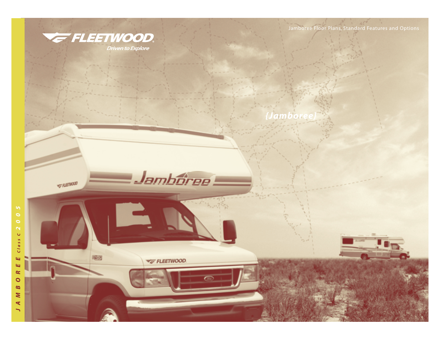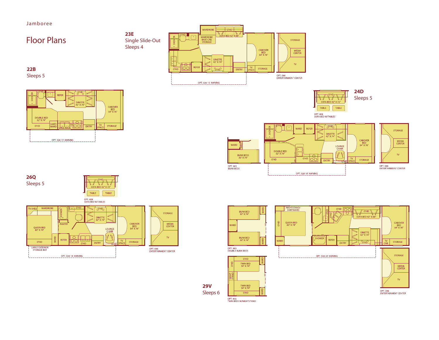Jamboree









STORAGE

MEDIA<br>CENTER

 $\mathbf{v}$ 

OPT. 086<br>ENTERTAINMENT CENTER



**29V** Sleeps 6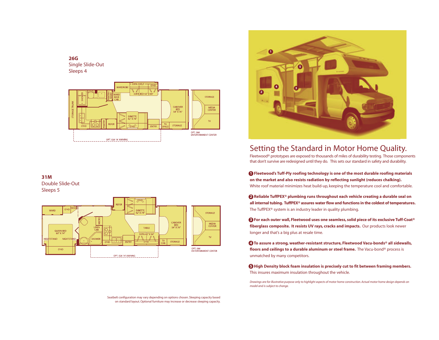



### **31M** Double Slide-Out

Sleeps 5



Seatbelt configuration may vary depending on options chosen. Sleeping capacity based on standard layout. Optional furniture may increase or decrease sleeping capacity.



## Setting the Standard in Motor Home Quality.

Fleetwood® prototypes are exposed to thousands of miles of durability testing. Those components that don't survive are redesigned until they do. This sets our standard in safety and durability.

**<sup>1</sup> Fleetwood's Tuff-Ply roofing technology is one of the most durable roofing materials on the market and also resists radiation by reflecting sunlight (reduces chalking).** White roof material minimizes heat build-up, keeping the temperature cool and comfortable.

**2 Reliable TuffPEX® plumbing runs throughout each vehicle creating a durable seal on all internal tubing. TuffPEX® assures water flow and functions in the coldest of temperatures.** The TuffPEX® system is an industry leader in quality plumbing.

**3 For each outer wall, Fleetwood uses one seamless, solid piece of its exclusive Tuff-Coat® fiberglass composite. It resists UV rays, cracks and impacts.** Our products look newer longer and that's a big plus at resale time.

**4 To assure a strong, weather-resistant structure, Fleetwood Vacu-bonds® all sidewalls, floors and ceilings to a durable aluminum or steel frame.** The Vacu-bond® process is unmatched by many competitors.

**5 High Density block foam insulation is precisely cut to fit between framing members.** This insures maximum insulation throughout the vehicle.

*Drawings are for illustrative purpose only to highlight aspects of motor home construction. Actual motor home design depends on model and is subject to change.*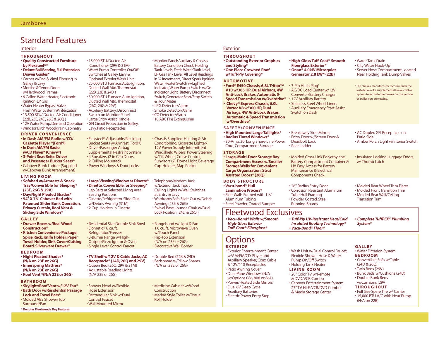# Standard Features

| Interior                                                                                                                                                                                                                                                                                                                                                         |                                                                                                                                                                                                                                                                                                                                                                                                                                                                                       |                                                                                                                                                                                                                                                                                                                                                                                                                                                                                         | Exterior                                                                                                                                                                                                                                                                                                                             |                                                                                                                                                                                                                       |                                                                                                                                                                                      |  |
|------------------------------------------------------------------------------------------------------------------------------------------------------------------------------------------------------------------------------------------------------------------------------------------------------------------------------------------------------------------|---------------------------------------------------------------------------------------------------------------------------------------------------------------------------------------------------------------------------------------------------------------------------------------------------------------------------------------------------------------------------------------------------------------------------------------------------------------------------------------|-----------------------------------------------------------------------------------------------------------------------------------------------------------------------------------------------------------------------------------------------------------------------------------------------------------------------------------------------------------------------------------------------------------------------------------------------------------------------------------------|--------------------------------------------------------------------------------------------------------------------------------------------------------------------------------------------------------------------------------------------------------------------------------------------------------------------------------------|-----------------------------------------------------------------------------------------------------------------------------------------------------------------------------------------------------------------------|--------------------------------------------------------------------------------------------------------------------------------------------------------------------------------------|--|
| <b>THROUGHOUT</b><br><b>. Quality Constructed Furniture</b><br>by Flexsteel <sup>®*</sup><br>• Deluxe Ball Bearing, Full Extension<br><b>Drawer Guides*</b>                                                                                                                                                                                                      | • 15.000 BTU/Ducted Air<br>Conditioner (29V & 31M)<br>• Water Pump Controller, On/Off<br>Switches at Galley, Lavy &<br>Optional Exterior Wash Unit<br>• 25,000 BTU Furnace, Auto-Ignition,<br>Ducted, Wall Mtd. Thermostat<br>(22B, 23E & 24D)<br>· 30,000 BTU Furnace, Auto-Ignition,<br>Ducted, Wall Mtd. Thermostat<br>(26Q, 26G & 29V)<br>• Auxiliary Battery, Disconnect<br><b>Switch on Monitor Panel</b><br>• Large Entry Assist Handle<br>· GFI Circuit Protection in Galley, | • Monitor Panel: Auxiliary & Chassis<br><b>Battery Condition Check, Holding</b><br>Tank Levels, Fresh Water Tank Level,<br>LP Gas Tank Level, All Level Readings<br>in 1/4 Increments, Direct Spark Ignition<br>Water Heater Switch w/Lighted<br>Indicator, Water Pump Switch w/On<br>Indicator Light, Battery Disconnect<br>Switch, Generator Start/Stop Switch<br>& Hour Meter<br>• LPG Detector/Alarm<br>• Smoke Detector/Alarm<br>• CO Detector/Alarm<br>• 10 ABC Fire Extinguisher | <b>THROUGHOUT</b><br><b>• Outstanding Exterior Graphics</b><br>and Styling*<br><b>. One Piece Crowned Roof</b><br>w/Tuff-Ply Covering*                                                                                                                                                                                               | • High-Gloss Tuff-Coat <sup>®</sup> Smooth<br><b>Fiberglass Exterior*</b><br>• Onan <sup>®</sup> 4.0kW Microquiet<br>Generator 2.8 kW* (22B)                                                                          | • Water Tank Drain<br>• City Water Hook-Up<br>• Sewer Hose Compartment Located<br><b>Near Holding Tank Dump Valves</b>                                                               |  |
| • Carpet w/Pad & Vinyl Flooring in<br><b>Galley &amp; Lavy</b><br>• Mortise & Tenon Doors<br>w/Hardwood Frames<br>• 6 Gallon Water Heater, Electronic<br>Ignition, LP Gas<br>· Water Heater Bypass Valve-<br><b>Fresh Water System Winterization</b><br>• 13,500 BTU/ Ducted Air Conditioner<br>(22B, 23E, 24D, 26G & 26Q)<br>• 12V Water Pump, Demand Operation |                                                                                                                                                                                                                                                                                                                                                                                                                                                                                       |                                                                                                                                                                                                                                                                                                                                                                                                                                                                                         | <b>AUTOMOTIVE</b><br>• Ford® E450 Chassis, 6.8L Triton™<br>V10 w/305 HP, Dual Airbags, 4W<br><b>Anti-Lock Brakes, Automatic 5-</b><br><b>Speed Transmission w/Overdrive*</b><br>• Chevy® Express Chassis, 6.0L<br>Vortec V8 w/300 HP, Dual<br>Airbags, 4W Anti-Lock Brakes,<br><b>Automatic 4-Speed Transmission</b><br>w/Overdrive* | • 7-Pin Hitch Plug <sup>+</sup><br>• AC/DC Load Center w/12V<br><b>Converter/Battery Charger</b><br>• 12V Auxiliary Battery<br>• Stainless Steel Wheel Liners<br>• Auxiliary Emergency Start Assist<br>Switch on Dash | <sup>†</sup> The chassis manufacturer recommends the<br>installation of a supplemental brake control<br>system to activate the brakes on the vehicle<br>or trailer you are towing.   |  |
| · Windsor Birch Woodgrain Cabinetry<br><b>DRIVER CONVENIENCE</b><br>. In Dash AM/FM Radio w/CD/<br>Cassette Player *(Ford®)<br>• In Dash AM/FM Radio                                                                                                                                                                                                             | Lavy, Patio Receptacles<br>• Flexsteel <sup>®</sup> Adjustable/Reclining<br>Bucket Seats w/Armrest (Ford®)<br>• Driver/Passenger Airbag                                                                                                                                                                                                                                                                                                                                               | • Chassis Supplied: Heating & Air<br>Conditioning, Cigarette Lighter/<br>12V Power Supply, Intermittent                                                                                                                                                                                                                                                                                                                                                                                 | <b>SAFETY/CONVENIENCE</b><br><b>• High Mounted Large Taillights*</b><br>• Radius Tinted Windows*<br>· 30-Amp, 30' Long Shore-Line Power<br>Cord, Compartment Storage                                                                                                                                                                 | • Breakaway Side Mirrors<br>• Entry Door w/Screen Door &<br><b>Deadbolt Lock</b><br>• Rear Ladder                                                                                                                     | • AC Duplex GFI Receptacle on<br>Patio Side<br>• Amber Porch Light w/Interior Switch                                                                                                 |  |
| w/CD Player* (Chevy®)<br>· 3-Point Seat Belts: Driver<br>and Passenger Bucket Seats*<br>• Cabover Bunk Ladder (Supplied<br>w/Cabover Bunk Arrangement)                                                                                                                                                                                                           | <b>Supplemental Restraint System</b><br>• 4 Speakers, (2 in Cab Doors,<br>2 Ceiling Mounted)<br>• Power Windows & Door Locks                                                                                                                                                                                                                                                                                                                                                          | Windshield Wipers, Power Steering<br>w/Tilt Wheel, Cruise Control,<br>Sunvisors (2), Dome Light, Beverage<br>Cup-Holders, Map Pocket                                                                                                                                                                                                                                                                                                                                                    | <b>STORAGE</b><br>• Large, Multi-Door Storage Bay<br><b>Compartment Access w/Smaller</b><br><b>Storage Wells for Convenient</b><br><b>Cargo Organization, Strut</b>                                                                                                                                                                  | • Molded Cross-Link Polyethylene<br><b>Battery Compartment Container &amp;</b><br><b>Lid Easy Access for Battery</b><br><b>Maintenance &amp; Electrical</b>                                                           | • Insulated Locking Luggage Doors<br>w/Thumb Latch                                                                                                                                   |  |
| <b>LIVING ROOM</b><br>• Sofabed w/Armrests & Snack<br>Tray/Convertible for Sleeping*<br>(23E, 26G & 29V)<br>• Day/Night Pleated Shades*<br>• 54" X 76" Cabover Bed with<br><b>Patented Slider Bunk Operation,</b><br><b>Privacy Curtain, Roof Vent &amp;</b>                                                                                                     | <b>• Large Viewing Window at Dinette*</b><br>• Dinette, Convertible for Sleeping*<br>• Lap Belts at Selected Living Area<br><b>Seating Positions</b><br>• Dinette/Refrigerator Slide-Out<br>w/Debris Awning (31M)<br>•2 Cup-Holders in Dinette                                                                                                                                                                                                                                        | •Telephone/Modem Jack<br>w/Exterior Jack Input<br>• Ceiling Lights w/Wall Switches<br>at Entry & Lavy<br>· Wardrobe/Sofa Slide-Out w/Debris<br>Awning (23E & 26G)<br>· Swivel Base Lounge Chair w/Dual                                                                                                                                                                                                                                                                                  | <b>Assisted Doors* (26Q)</b><br><b>BODY STRUCTURE</b><br>• Vacu-bond® Hull<br><b>Lamination Process*</b><br>. Side-Walls Framed with 11/2"<br><b>Aluminum Tubing</b><br>• Steel Powder-Coated Bumper                                                                                                                                 | <b>Components Check</b><br>• 26" Radius Entry Door<br>• Corrosion Resistant Aluminum<br><b>Tube Hull Framing</b><br>• Powder Coated, Steel<br><b>Running Boards</b>                                                   | • Molded Rear Wheel Trim Flares<br>• Molded Front Transition Trim<br>• Molded Rear Wall/Ceiling<br><b>Transition Trim</b>                                                            |  |
| <b>Sliding Side Windows*</b><br><b>GALLEY</b><br>• Drawer Boxes w/Real Wood<br><b>Construction*</b>                                                                                                                                                                                                                                                              | • Residential Size Double Sink Bowl<br>• Dometic <sup>®</sup> 6 cu.ft.                                                                                                                                                                                                                                                                                                                                                                                                                | Lock Position (24D & 26Q)<br>• Rangehood w/Light & Fan<br>• 1.0 cu. ft. Microwave Oven                                                                                                                                                                                                                                                                                                                                                                                                  | <b>Fleetwood Exclusives</b><br>• Vacu-Bond® Walls w/Smooth<br><b>High-Gloss Exterior</b><br><b>Tuff-Coat<sup>®</sup> Fiberglass*</b>                                                                                                                                                                                                 | · Tuff-Ply UV-Resistant Heat/Cold<br><b>Insulated Roofing Technology*</b><br>• Vacu-Bond® Floor*                                                                                                                      | • Complete TuffPEX® Plumbing<br>System*                                                                                                                                              |  |
| · Kitchen Convenience Package:<br><b>Spice Rack, Knife Holder, Paper</b><br><b>Towel Holder, Sink Cover/Cutting</b><br><b>Board, Silverware Drawer*</b>                                                                                                                                                                                                          | Refrigerator/Freezer<br>• 3-Burner Range w/High-<br>Output/Piezo Ignitor & Oven<br>• Single Lever Control Faucet                                                                                                                                                                                                                                                                                                                                                                      | w/Touch Panel<br>• Flip-Top Extension<br>(N/A on 23E or 26G)<br>• Decorative Wall Border                                                                                                                                                                                                                                                                                                                                                                                                | <b>Options</b><br><b>EXTERIOR</b>                                                                                                                                                                                                                                                                                                    |                                                                                                                                                                                                                       | <b>GALLEY</b><br>• Water Filtration System<br><b>BEDROOM</b><br>• Convertible Sofa w/Table<br>(24D & 26Q)<br>• Twin Beds (29V)<br>• Bunk Beds w/Cushions (24D)<br>• Double Bunk Beds |  |
| <b>BEDROOM</b><br>• Night Pleated Shades*<br>(N/A on 23E or 26G)<br>• Innerspring Mattress*<br>(N/A on 23E or 26G)<br>• Roof Vent *(N/A 23E or 26G)                                                                                                                                                                                                              | • TV Shelf w/12V & Cable Jacks, AC<br>Receptacle* (24D, 26Q and 29V)<br>• Oueen Bed (260, 29V & 31M)<br>• Adjustable Reading Lights<br>(N/A 23E or 26G)                                                                                                                                                                                                                                                                                                                               | • Double Bed (22B & 24D)<br>• Bedspread w/Pillow Shams<br>(N/A on 23E or 26G)                                                                                                                                                                                                                                                                                                                                                                                                           | <b>· Exterior Entertainment Center</b><br>w/AM/FM/CD Player and<br><b>Auxiliary Speaker, Coax Cable</b><br>& 12V/110 Receptacles<br>• Patio Awning Cover<br>• Dual-Pane Windows (N/A<br>w/Options 086, 808 or 861)                                                                                                                   | . Wash Unit w/Dual Control Faucet.<br>Flexible Shower Hose & Water<br>Pump On/Off Switch<br>• Holding Tank Heater<br><b>LIVING ROOM</b><br>• 20" Color TV w/Remote                                                    |                                                                                                                                                                                      |  |
| <b>BATHROOM</b><br>• Skylight/Roof Vent w/12V Fan*<br>· Bath Door w/Residential Passage<br><b>Lock and Towel Bars*</b><br>• Molded ABS Shower/Tub                                                                                                                                                                                                                | • Shower Head w/Flexible<br>· Medicine Cabinet w/Wood<br><b>Hose Extension</b><br>Construction<br>• Rectangular Sink w/Dual<br>• Marine Style Toilet w/Tissue<br><b>Control Faucet</b><br><b>Roll Holder</b>                                                                                                                                                                                                                                                                          |                                                                                                                                                                                                                                                                                                                                                                                                                                                                                         | • Power/Heated Side Mirrors<br>• Dual 6V Deep Cycle<br><b>Auxiliary Batteries</b><br>• Electric Power Entry Step                                                                                                                                                                                                                     | & DVD/VCR Combo<br>• Cabover Entertainment System:<br>27" TV, Hi-Fi VCR/DVD Combo<br>& Media Storage Center                                                                                                           | w/Cushions (29V)<br><b>THROUGHOUT</b><br>• Full Size Spare Tire w/ Carrier<br>• 15,000 BTU A/C with Heat Pump<br>(N/A on 22B)                                                        |  |

**\* Denotes Fleetwood's Key Features**

• Wall Mounted Mirror

Surround/Pan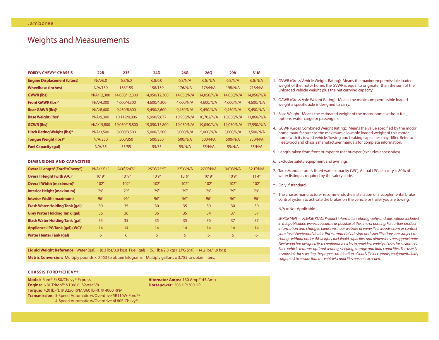### Weights and Measurements

| <b>FORD®/ CHEVY® CHASSIS</b>          | 22B        | <b>23E</b>    | <b>24D</b>    | 26G        | <b>260</b> | <b>29V</b> | 31M        |
|---------------------------------------|------------|---------------|---------------|------------|------------|------------|------------|
| <b>Engine Displacement (Liters)</b>   | N/A/6.0    | 6.8/6.0       | 6.8/6.0       | 6.8/N/A    | 6.8/N/A    | 6.8/N/A    | 6.8/N/A    |
| <b>Wheelbase (Inches)</b>             | N/A/139    | 158/159       | 158/159       | 176/N/A    | 176/N/A    | 198/N/A    | 218/N/A    |
| GVWR (lbs) <sup>1</sup>               | N/A/12,300 | 14.050/12.300 | 14.050/12.300 | 14.050/N/A | 14.050/N/A | 14,050/N/A | 14,050/N/A |
| <b>Front GAWR (lbs)<sup>2</sup></b>   | N/A/4,300  | 4,600/4,300   | 4,600/4,300   | 4.600/N/A  | 4,600/N/A  | 4.600/N/A  | 4,600/N/A  |
| Rear GAWR (lbs) <sup>2</sup>          | N/A/8,600  | 9,450/8,600   | 9,450/8,600   | 9.450/N/A  | 9.450/N/A  | 9.450/N/A  | 9.450/N/A  |
| <b>Base Weight (lbs)</b> <sup>3</sup> | N/A/9,300  | 10,119/9,806  | 9,990/9,677   | 10.900/N/A | 10.702/N/A | 10.850/N/A | 11,860/N/A |
| <b>GCWR</b> (lbs) <sup>4</sup>        | N/A/15,800 | 19.050/15.800 | 19,050/15,800 | 19,050/N/A | 19,050/N/A | 19.050/N/A | 17,550/N/A |
| <b>Hitch Rating Weight (lbs)*</b>     | N/A/3.500  | 5,000/3,500   | 5,000/3,500   | 5,000/N/A  | 5,000/N/A  | 5,000/N/A  | 3,500/N/A  |
| Tonque Weight (lbs)*                  | N/A/350    | 500/350       | 500/350       | 500/N/A    | 500/N/A    | 500/N/A    | 350/N/A    |
| <b>Fuel Capacity (gal)</b>            | N/A/35     | 55/55         | 55/55         | 55/N/A     | 55/N/A     | 55/N/A     | 55/N/A     |

#### **DIMENSIONS AND CAPACITIES**

| Overall Length <sup>5</sup> (Ford®/Chevy®)   | N/A/23' 1" | 24'0"/24'5" | 25'0"/25'5" | 27'0"/N/A | 27'0"/N/A | 30'0"/N/A | 32'1"/N/A |
|----------------------------------------------|------------|-------------|-------------|-----------|-----------|-----------|-----------|
| <b>Overall Height (with A/C)<sup>+</sup></b> | 10'9''     | 10'9''      | 10'9''      | 10'9''    | 10'9''    | 10'9''    | 11'4"     |
| Overall Width (maximum) <sup>6</sup>         | 102"       | 102"        | 102"        | 102"      | 102"      | 102"      | 102"      |
| <b>Interior Height (maximum)</b>             | 79"        | 79"         | 79"         | 79"       | 79"       | 79"       | 79"       |
| <b>Interior Width (maximum)</b>              | 96"        | 96"         | 96"         | 96"       | 96"       | 96"       | 96"       |
| <b>Fresh Water Holding Tank (gal)</b>        | 30         | 35          | 30          | 35        | 30        | 30        | 30        |
| <b>Grey Water Holding Tank (gal)</b>         | 36         | 36          | 36          | 35        | 34        | 37        | 37        |
| <b>Black Water Holding Tank (gal)</b>        | 35         | 35          | 35          | 35        | 36        | 37        | 37        |
| Appliance LPG Tank (gal) (WC) <sup>7</sup>   | 14         | 14          | 14          | 14        | 14        | 14        | 14        |
| <b>Water Heater Tank (gal)</b>               | 6          | 6           | 6           | 6         | 6         | 6         | 6         |

**Liquid Weight Reference:** Water (gal) =  $(8.3 \text{ lbs}/3.8 \text{ kg})$  Fuel (gal) =  $(6.1 \text{ lbs}/2.8 \text{ kg})$  LPG (gal) =  $(4.2 \text{ lbs}/1.9 \text{ kg})$ **Metric Conversion:** Multiply pounds x 0.453 to obtain kilograms. Multiply gallons x 3.785 to obtain liters.

### **CHASSIS FORD®/CHEVY®**

**Model:** Ford® E450/Chevy® Express **Alternator Amps:** 130 Amp/145 Amp **Engine:** 6.8L Triton™ V10/6.0L Vortec V8 **Horsepower:** 305 HP/300 HP **Torque:** 420 lb.-ft. @ 3250 RPM/360 lb.-ft. @ 4000 RPM **Transmission:** 5-Speed Automatic w/Overdrive 5R110W-Ford®/ 4-Speed Automatic w/Overdrive 4L80E-Chevy®

- 1. GVWR (Gross Vehicle Weight Rating): Means the maximum permissible loaded weight of the motor home.The GVWR is equal to or greater than the sum of the unloaded vehicle weight plus the net carrying capacity.
- 2. GAWR (Gross Axle Weight Rating): Means the maximum permissible loaded weight a specific axle is designed to carry.
- 3. Base Weight: Means the estimated weight of the motor home without fuel, options, water, cargo or passengers.
- 4. GCWR (Gross Combined Weight Rating): Means the value specified by the motor home manufacturer as the maximum allowable loaded weight of this motor home with its towed vehicle.Towing and braking capacities may differ. Refer to Fleetwood and chassis manufacturer manuals for complete information.
- 5. Length taken from front bumper to rear bumper (excludes accessories).
- 6. Excludes safety equipment and awnings.
- 7. Tank Manufacturer's listed water capacity (WC). Actual LPG capacity is 80% of water listing as required by the safety code.
- † Only if standard.
- \* The chassis manufacturer recommends the installation of a supplemental brake control system to activate the brakes on the vehicle or trailer you are towing.

#### N/A = Not Applicable

*IMPORTANT— PLEASE READ: Product information,photography and illustrations included in this publication were as accurate as possible at the time of printing.For further product information and changes, please visit our website at www.fleetwoodrv.com or contact your local Fleetwood dealer. Prices, materials, design and specifications are subject to change without notice.All weights,fuel,liquid capacities and dimensions are approximate. Fleetwood has designed its recreational vehicles to provide a variety of uses for customers. Each vehicle features optimal seating, sleeping, storage and fluid capacities.The user is responsible for selecting the proper combination of loads (i.e.occupants,equipment,fluids, cargo,etc.) to ensure that the vehicle's capacities are not exceeded.*